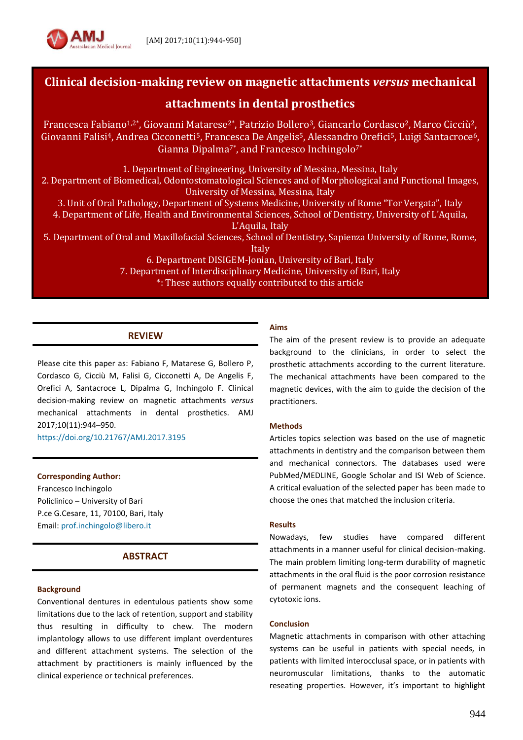

# **Clinical decision-making review on magnetic attachments** *versus* **mechanical**

# **attachments in dental prosthetics**

Francesca Fabiano<sup>1,2\*</sup>, Giovanni Matarese<sup>2\*</sup>, Patrizio Bollero<sup>3</sup>, Giancarlo Cordasco<sup>2</sup>, Marco Cicciù<sup>2</sup>, Giovanni Falisi<sup>4</sup>, Andrea Cicconetti<sup>5</sup>, Francesca De Angelis<sup>5</sup>, Alessandro Orefici<sup>5</sup>, Luigi Santacroce<sup>6</sup>, Gianna Dipalma<sup>7\*</sup>, and Francesco Inchingolo<sup>7\*</sup>

1. Department of Engineering, University of Messina, Messina, Italy

2. Department of Biomedical, Odontostomatological Sciences and of Morphological and Functional Images, University of Messina, Messina, Italy

3. Unit of Oral Pathology, Department of Systems Medicine, University of Rome "Tor Vergata", Italy 4. Department of Life, Health and Environmental Sciences, School of Dentistry, University of L'Aquila, L'Aquila, Italy

5. Department of Oral and Maxillofacial Sciences, School of Dentistry, Sapienza University of Rome, Rome,

Italy

6. Department DISIGEM-Jonian, University of Bari, Italy 7. Department of Interdisciplinary Medicine, University of Bari, Italy \*: These authors equally contributed to this article

# **REVIEW**

Please cite this paper as: Fabiano F, Matarese G, Bollero P, Cordasco G, Cicciù M, Falisi G, Cicconetti A, De Angelis F, Orefici A, Santacroce L, Dipalma G, Inchingolo F. Clinical decision-making review on magnetic attachments *versus* mechanical attachments in dental prosthetics. AMJ 2017;10(11):944–950.

<https://doi.org/10.21767/AMJ.2017.3195>

**Corresponding Author:** Francesco Inchingolo Policlinico – University of Bari P.ce G.Cesare, 11, 70100, Bari, Italy Email: [prof.inchingolo@libero.it](mailto:prof.inchingolo@libero.it)

# **ABSTRACT**

### **Background**

Conventional dentures in edentulous patients show some limitations due to the lack of retention, support and stability thus resulting in difficulty to chew. The modern implantology allows to use different implant overdentures and different attachment systems. The selection of the attachment by practitioners is mainly influenced by the clinical experience or technical preferences.

### **Aims**

The aim of the present review is to provide an adequate background to the clinicians, in order to select the prosthetic attachments according to the current literature. The mechanical attachments have been compared to the magnetic devices, with the aim to guide the decision of the practitioners.

### **Methods**

Articles topics selection was based on the use of magnetic attachments in dentistry and the comparison between them and mechanical connectors. The databases used were PubMed/MEDLINE, Google Scholar and ISI Web of Science. A critical evaluation of the selected paper has been made to choose the ones that matched the inclusion criteria.

### **Results**

Nowadays, few studies have compared different attachments in a manner useful for clinical decision-making. The main problem limiting long-term durability of magnetic attachments in the oral fluid is the poor corrosion resistance of permanent magnets and the consequent leaching of cytotoxic ions.

### **Conclusion**

Magnetic attachments in comparison with other attaching systems can be useful in patients with special needs, in patients with limited interocclusal space, or in patients with neuromuscular limitations, thanks to the automatic reseating properties. However, it's important to highlight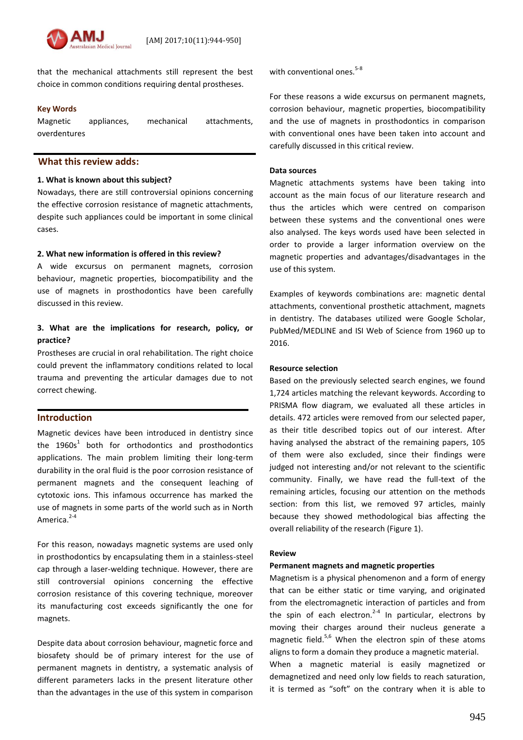that the mechanical attachments still represent the best choice in common conditions requiring dental prostheses.

#### **Key Words**

Magnetic appliances, mechanical attachments, overdentures

## **What this review adds:**

#### **1. What is known about this subject?**

Nowadays, there are still controversial opinions concerning the effective corrosion resistance of magnetic attachments, despite such appliances could be important in some clinical cases.

### **2. What new information is offered in this review?**

A wide excursus on permanent magnets, corrosion behaviour, magnetic properties, biocompatibility and the use of magnets in prosthodontics have been carefully discussed in this review.

### **3. What are the implications for research, policy, or practice?**

Prostheses are crucial in oral rehabilitation. The right choice could prevent the inflammatory conditions related to local trauma and preventing the articular damages due to not correct chewing.

### **Introduction**

Magnetic devices have been introduced in dentistry since the  $1960s<sup>1</sup>$  both for orthodontics and prosthodontics applications. The main problem limiting their long-term durability in the oral fluid is the poor corrosion resistance of permanent magnets and the consequent leaching of cytotoxic ions. This infamous occurrence has marked the use of magnets in some parts of the world such as in North America.<sup>2-4</sup>

For this reason, nowadays magnetic systems are used only in prosthodontics by encapsulating them in a stainless-steel cap through a laser-welding technique. However, there are still controversial opinions concerning the effective corrosion resistance of this covering technique, moreover its manufacturing cost exceeds significantly the one for magnets.

Despite data about corrosion behaviour, magnetic force and biosafety should be of primary interest for the use of permanent magnets in dentistry, a systematic analysis of different parameters lacks in the present literature other than the advantages in the use of this system in comparison with conventional ones. $5-8$ 

For these reasons a wide excursus on permanent magnets, corrosion behaviour, magnetic properties, biocompatibility and the use of magnets in prosthodontics in comparison with conventional ones have been taken into account and carefully discussed in this critical review.

#### **Data sources**

Magnetic attachments systems have been taking into account as the main focus of our literature research and thus the articles which were centred on comparison between these systems and the conventional ones were also analysed. The keys words used have been selected in order to provide a larger information overview on the magnetic properties and advantages/disadvantages in the use of this system.

Examples of keywords combinations are: magnetic dental attachments, conventional prosthetic attachment, magnets in dentistry. The databases utilized were Google Scholar, PubMed/MEDLINE and ISI Web of Science from 1960 up to 2016.

#### **Resource selection**

Based on the previously selected search engines, we found 1,724 articles matching the relevant keywords. According to PRISMA flow diagram, we evaluated all these articles in details. 472 articles were removed from our selected paper, as their title described topics out of our interest. After having analysed the abstract of the remaining papers, 105 of them were also excluded, since their findings were judged not interesting and/or not relevant to the scientific community. Finally, we have read the full-text of the remaining articles, focusing our attention on the methods section: from this list, we removed 97 articles, mainly because they showed methodological bias affecting the overall reliability of the research (Figure 1).

#### **Review**

#### **Permanent magnets and magnetic properties**

Magnetism is a physical phenomenon and a form of energy that can be either static or time varying, and originated from the electromagnetic interaction of particles and from the spin of each electron.<sup>2-4</sup> In particular, electrons by moving their charges around their nucleus generate a magnetic field. $5,6$  When the electron spin of these atoms aligns to form a domain they produce a magnetic material. When a magnetic material is easily magnetized or

demagnetized and need only low fields to reach saturation, it is termed as "soft" on the contrary when it is able to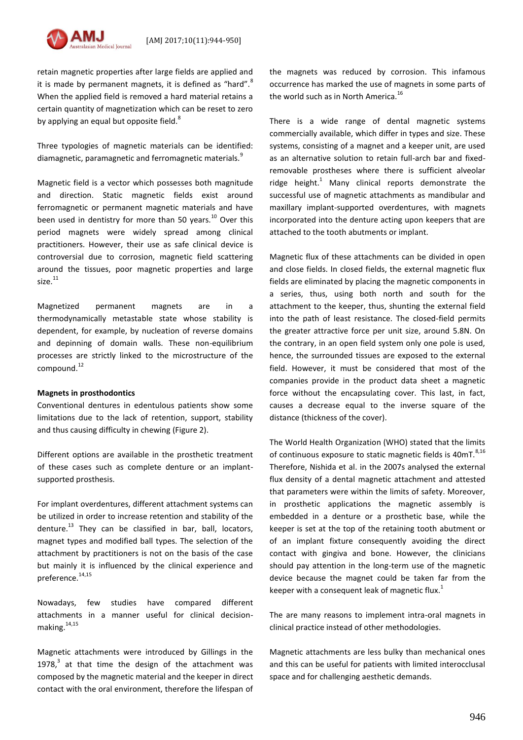

retain magnetic properties after large fields are applied and it is made by permanent magnets, it is defined as "hard". $8$ When the applied field is removed a hard material retains a certain quantity of magnetization which can be reset to zero by applying an equal but opposite field.<sup>8</sup>

Three typologies of magnetic materials can be identified: diamagnetic, paramagnetic and ferromagnetic materials.<sup>9</sup>

Magnetic field is a vector which possesses both magnitude and direction. Static magnetic fields exist around ferromagnetic or permanent magnetic materials and have been used in dentistry for more than 50 years. $^{10}$  Over this period magnets were widely spread among clinical practitioners. However, their use as safe clinical device is controversial due to corrosion, magnetic field scattering around the tissues, poor magnetic properties and large  $size.<sup>11</sup>$ 

Magnetized permanent magnets are in a thermodynamically metastable state whose stability is dependent, for example, by nucleation of reverse domains and depinning of domain walls. These non-equilibrium processes are strictly linked to the microstructure of the compound.<sup>12</sup>

#### **Magnets in prosthodontics**

Conventional dentures in edentulous patients show some limitations due to the lack of retention, support, stability and thus causing difficulty in chewing (Figure 2).

Different options are available in the prosthetic treatment of these cases such as complete denture or an implantsupported prosthesis.

For implant overdentures, different attachment systems can be utilized in order to increase retention and stability of the denture. $^{13}$  They can be classified in bar, ball, locators, magnet types and modified ball types. The selection of the attachment by practitioners is not on the basis of the case but mainly it is influenced by the clinical experience and preference.14,15

Nowadays, few studies have compared different attachments in a manner useful for clinical decisionmaking. $14,15$ 

Magnetic attachments were introduced by Gillings in the 1978, $3$  at that time the design of the attachment was composed by the magnetic material and the keeper in direct contact with the oral environment, therefore the lifespan of the magnets was reduced by corrosion. This infamous occurrence has marked the use of magnets in some parts of the world such as in North America.<sup>16</sup>

There is a wide range of dental magnetic systems commercially available, which differ in types and size. These systems, consisting of a magnet and a keeper unit, are used as an alternative solution to retain full-arch bar and fixedremovable prostheses where there is sufficient alveolar ridge height.<sup>1</sup> Many clinical reports demonstrate the successful use of magnetic attachments as mandibular and maxillary implant-supported overdentures, with magnets incorporated into the denture acting upon keepers that are attached to the tooth abutments or implant.

Magnetic flux of these attachments can be divided in open and close fields. In closed fields, the external magnetic flux fields are eliminated by placing the magnetic components in a series, thus, using both north and south for the attachment to the keeper, thus, shunting the external field into the path of least resistance. The closed-field permits the greater attractive force per unit size, around 5.8N. On the contrary, in an open field system only one pole is used, hence, the surrounded tissues are exposed to the external field. However, it must be considered that most of the companies provide in the product data sheet a magnetic force without the encapsulating cover. This last, in fact, causes a decrease equal to the inverse square of the distance (thickness of the cover).

The World Health Organization (WHO) stated that the limits of continuous exposure to static magnetic fields is  $40\text{mT}$ .  $8,16$ Therefore, Nishida et al. in the 2007s analysed the external flux density of a dental magnetic attachment and attested that parameters were within the limits of safety. Moreover, in prosthetic applications the magnetic assembly is embedded in a denture or a prosthetic base, while the keeper is set at the top of the retaining tooth abutment or of an implant fixture consequently avoiding the direct contact with gingiva and bone. However, the clinicians should pay attention in the long-term use of the magnetic device because the magnet could be taken far from the keeper with a consequent leak of magnetic flux. $1$ 

The are many reasons to implement intra-oral magnets in clinical practice instead of other methodologies.

Magnetic attachments are less bulky than mechanical ones and this can be useful for patients with limited interocclusal space and for challenging aesthetic demands.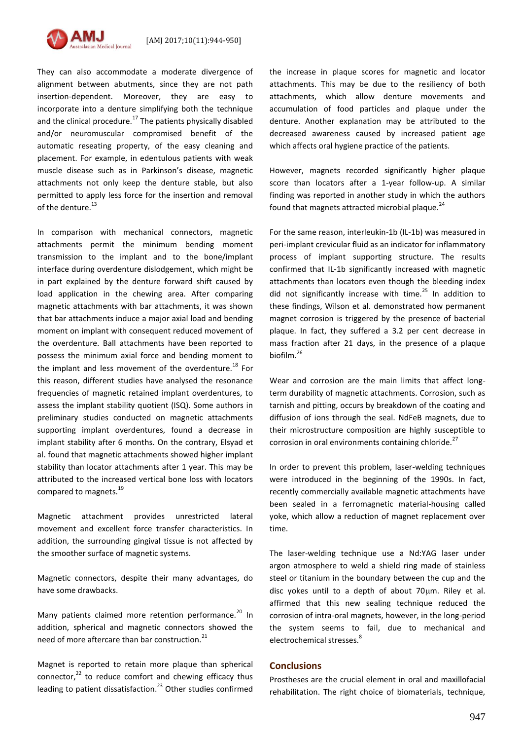

They can also accommodate a moderate divergence of alignment between abutments, since they are not path insertion-dependent. Moreover, they are easy to incorporate into a denture simplifying both the technique and the clinical procedure.<sup>17</sup> The patients physically disabled and/or neuromuscular compromised benefit of the automatic reseating property, of the easy cleaning and placement. For example, in edentulous patients with weak muscle disease such as in Parkinson's disease, magnetic attachments not only keep the denture stable, but also permitted to apply less force for the insertion and removal of the denture.<sup>13</sup>

In comparison with mechanical connectors, magnetic attachments permit the minimum bending moment transmission to the implant and to the bone/implant interface during overdenture dislodgement, which might be in part explained by the denture forward shift caused by load application in the chewing area. After comparing magnetic attachments with bar attachments, it was shown that bar attachments induce a major axial load and bending moment on implant with consequent reduced movement of the overdenture. Ball attachments have been reported to possess the minimum axial force and bending moment to the implant and less movement of the overdenture.<sup>18</sup> For this reason, different studies have analysed the resonance frequencies of magnetic retained implant overdentures, to assess the implant stability quotient (ISQ). Some authors in preliminary studies conducted on magnetic attachments supporting implant overdentures, found a decrease in implant stability after 6 months. On the contrary, Elsyad et al. found that magnetic attachments showed higher implant stability than locator attachments after 1 year. This may be attributed to the increased vertical bone loss with locators compared to magnets.<sup>19</sup>

Magnetic attachment provides unrestricted lateral movement and excellent force transfer characteristics. In addition, the surrounding gingival tissue is not affected by the smoother surface of magnetic systems.

Magnetic connectors, despite their many advantages, do have some drawbacks.

Many patients claimed more retention performance.<sup>20</sup> In addition, spherical and magnetic connectors showed the need of more aftercare than bar construction.<sup>21</sup>

Magnet is reported to retain more plaque than spherical connector, $22$  to reduce comfort and chewing efficacy thus leading to patient dissatisfaction.<sup>23</sup> Other studies confirmed the increase in plaque scores for magnetic and locator attachments. This may be due to the resiliency of both attachments, which allow denture movements and accumulation of food particles and plaque under the denture. Another explanation may be attributed to the decreased awareness caused by increased patient age which affects oral hygiene practice of the patients.

However, magnets recorded significantly higher plaque score than locators after a 1-year follow-up. A similar finding was reported in another study in which the authors found that magnets attracted microbial plaque.<sup>24</sup>

For the same reason, interleukin-1b (IL-1b) was measured in peri-implant crevicular fluid as an indicator for inflammatory process of implant supporting structure. The results confirmed that IL-1b significantly increased with magnetic attachments than locators even though the bleeding index did not significantly increase with time. $^{25}$  In addition to these findings, Wilson et al. demonstrated how permanent magnet corrosion is triggered by the presence of bacterial plaque. In fact, they suffered a 3.2 per cent decrease in mass fraction after 21 days, in the presence of a plaque biofilm.<sup>26</sup>

Wear and corrosion are the main limits that affect longterm durability of magnetic attachments. Corrosion, such as tarnish and pitting, occurs by breakdown of the coating and diffusion of ions through the seal. NdFeB magnets, due to their microstructure composition are highly susceptible to corrosion in oral environments containing chloride.<sup>27</sup>

In order to prevent this problem, laser-welding techniques were introduced in the beginning of the 1990s. In fact, recently commercially available magnetic attachments have been sealed in a ferromagnetic material-housing called yoke, which allow a reduction of magnet replacement over time.

The laser-welding technique use a Nd:YAG laser under argon atmosphere to weld a shield ring made of stainless steel or titanium in the boundary between the cup and the disc yokes until to a depth of about  $70 \mu m$ . Riley et al. affirmed that this new sealing technique reduced the corrosion of intra-oral magnets, however, in the long-period the system seems to fail, due to mechanical and electrochemical stresses.<sup>8</sup>

### **Conclusions**

Prostheses are the crucial element in oral and maxillofacial rehabilitation. The right choice of biomaterials, technique,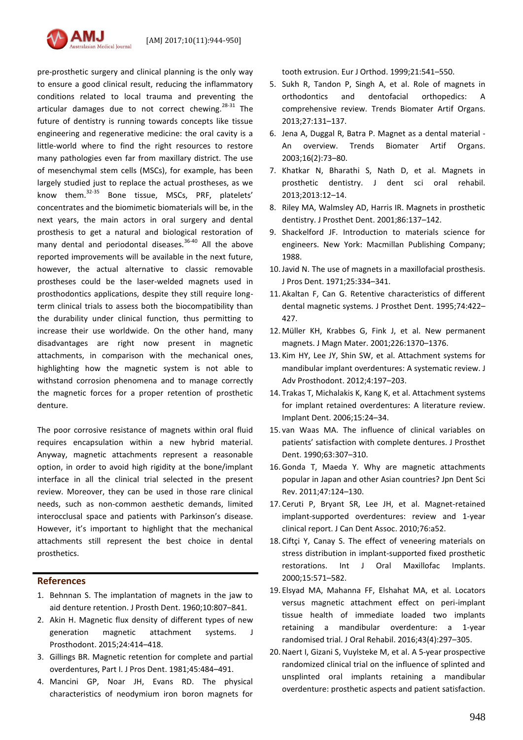

pre-prosthetic surgery and clinical planning is the only way to ensure a good clinical result, reducing the inflammatory conditions related to local trauma and preventing the articular damages due to not correct chewing. $28-31$  The future of dentistry is running towards concepts like tissue engineering and regenerative medicine: the oral cavity is a little-world where to find the right resources to restore many pathologies even far from maxillary district. The use of mesenchymal stem cells (MSCs), for example, has been largely studied just to replace the actual prostheses, as we know them.32-35 Bone tissue, MSCs, PRF, platelets' concentrates and the biomimetic biomaterials will be, in the next years, the main actors in oral surgery and dental prosthesis to get a natural and biological restoration of many dental and periodontal diseases.<sup>36-40</sup> All the above reported improvements will be available in the next future, however, the actual alternative to classic removable prostheses could be the laser-welded magnets used in prosthodontics applications, despite they still require longterm clinical trials to assess both the biocompatibility than the durability under clinical function, thus permitting to increase their use worldwide. On the other hand, many disadvantages are right now present in magnetic attachments, in comparison with the mechanical ones, highlighting how the magnetic system is not able to withstand corrosion phenomena and to manage correctly the magnetic forces for a proper retention of prosthetic denture.

The poor corrosive resistance of magnets within oral fluid requires encapsulation within a new hybrid material. Anyway, magnetic attachments represent a reasonable option, in order to avoid high rigidity at the bone/implant interface in all the clinical trial selected in the present review. Moreover, they can be used in those rare clinical needs, such as non-common aesthetic demands, limited interocclusal space and patients with Parkinson's disease. However, it's important to highlight that the mechanical attachments still represent the best choice in dental prosthetics.

### **References**

- 1. Behnnan S. The implantation of magnets in the jaw to aid denture retention. J Prosth Dent. 1960;10:807–841.
- 2. Akin H. Magnetic flux density of different types of new generation magnetic attachment systems. J Prosthodont. 2015;24:414–418.
- 3. Gillings BR. Magnetic retention for complete and partial overdentures, Part I. J Pros Dent. 1981;45:484–491.
- 4. Mancini GP, Noar JH, Evans RD. The physical characteristics of neodymium iron boron magnets for

tooth extrusion. Eur J Orthod. 1999;21:541–550.

- 5. Sukh R, Tandon P, Singh A, et al. Role of magnets in orthodontics and dentofacial orthopedics: A comprehensive review. Trends Biomater Artif Organs. 2013;27:131–137.
- 6. Jena A, Duggal R, Batra P. Magnet as a dental material An overview. Trends Biomater Artif Organs. 2003;16(2):73–80.
- 7. Khatkar N, Bharathi S, Nath D, et al. Magnets in prosthetic dentistry. J dent sci oral rehabil. 2013;2013:12–14.
- 8. Riley MA, Walmsley AD, Harris IR. Magnets in prosthetic dentistry. J Prosthet Dent. 2001;86:137–142.
- 9. Shackelford JF. Introduction to materials science for engineers. New York: Macmillan Publishing Company; 1988.
- 10.Javid N. The use of magnets in a maxillofacial prosthesis. J Pros Dent. 1971;25:334–341.
- 11. Akaltan F, Can G. Retentive characteristics of different dental magnetic systems. J Prosthet Dent. 1995;74:422– 427.
- 12. Müller KH, Krabbes G, Fink J, et al. New permanent magnets. J Magn Mater. 2001;226:1370–1376.
- 13. Kim HY, Lee JY, Shin SW, et al. Attachment systems for mandibular implant overdentures: A systematic review. J Adv Prosthodont. 2012;4:197–203.
- 14. Trakas T, Michalakis K, Kang K, et al. Attachment systems for implant retained overdentures: A literature review. Implant Dent. 2006;15:24–34.
- 15. van Waas MA. The influence of clinical variables on patients' satisfaction with complete dentures. J Prosthet Dent. 1990;63:307–310.
- 16.Gonda T, Maeda Y. Why are magnetic attachments popular in Japan and other Asian countries? Jpn Dent Sci Rev. 2011;47:124–130.
- 17. Ceruti P, Bryant SR, Lee JH, et al. Magnet-retained implant-supported overdentures: review and 1-year clinical report. J Can Dent Assoc. 2010;76:a52.
- 18. Ciftçi Y, Canay S. The effect of veneering materials on stress distribution in implant-supported fixed prosthetic restorations. Int J Oral Maxillofac Implants. 2000;15:571–582.
- 19. Elsyad MA, Mahanna FF, Elshahat MA, et al. Locators versus magnetic attachment effect on peri-implant tissue health of immediate loaded two implants retaining a mandibular overdenture: a 1-year randomised trial. J Oral Rehabil. 2016;43(4):297–305.
- 20.Naert I, Gizani S, Vuylsteke M, et al. A 5-year prospective randomized clinical trial on the influence of splinted and unsplinted oral implants retaining a mandibular overdenture: prosthetic aspects and patient satisfaction.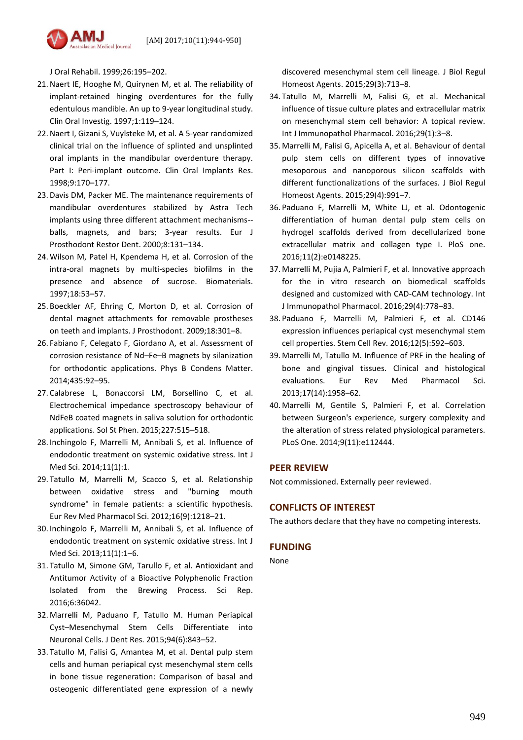

J Oral Rehabil. 1999;26:195–202.

- 21.Naert IE, Hooghe M, Quirynen M, et al. The reliability of implant-retained hinging overdentures for the fully edentulous mandible. An up to 9-year longitudinal study. Clin Oral Investig. 1997;1:119–124.
- 22.Naert I, Gizani S, Vuylsteke M, et al. A 5-year randomized clinical trial on the influence of splinted and unsplinted oral implants in the mandibular overdenture therapy. Part I: Peri-implant outcome. Clin Oral Implants Res. 1998;9:170–177.
- 23. Davis DM, Packer ME. The maintenance requirements of mandibular overdentures stabilized by Astra Tech implants using three different attachment mechanisms- balls, magnets, and bars; 3-year results. Eur J Prosthodont Restor Dent. 2000;8:131–134.
- 24. Wilson M, Patel H, Kpendema H, et al. Corrosion of the intra-oral magnets by multi-species biofilms in the presence and absence of sucrose. Biomaterials. 1997;18:53–57.
- 25. Boeckler AF, Ehring C, Morton D, et al. Corrosion of dental magnet attachments for removable prostheses on teeth and implants. J Prosthodont. 2009;18:301–8.
- 26. Fabiano F, Celegato F, Giordano A, et al. Assessment of corrosion resistance of Nd–Fe–B magnets by silanization for orthodontic applications. Phys B Condens Matter. 2014;435:92–95.
- 27. Calabrese L, Bonaccorsi LM, Borsellino C, et al. Electrochemical impedance spectroscopy behaviour of NdFeB coated magnets in saliva solution for orthodontic applications. Sol St Phen. 2015;227:515–518.
- 28. Inchingolo F, Marrelli M, Annibali S, et al. Influence of endodontic treatment on systemic oxidative stress. Int J Med Sci. 2014;11(1):1.
- 29. Tatullo M, Marrelli M, Scacco S, et al. Relationship between oxidative stress and "burning mouth syndrome" in female patients: a scientific hypothesis. Eur Rev Med Pharmacol Sci. 2012;16(9):1218–21.
- 30. Inchingolo F, Marrelli M, Annibali S, et al. Influence of endodontic treatment on systemic oxidative stress. Int J Med Sci. 2013;11(1):1–6.
- 31. Tatullo M, Simone GM, Tarullo F, et al. Antioxidant and Antitumor Activity of a Bioactive Polyphenolic Fraction Isolated from the Brewing Process. Sci Rep. 2016;6:36042.
- 32. Marrelli M, Paduano F, Tatullo M. Human Periapical Cyst–Mesenchymal Stem Cells Differentiate into Neuronal Cells. J Dent Res. 2015;94(6):843–52.
- 33. Tatullo M, Falisi G, Amantea M, et al. Dental pulp stem cells and human periapical cyst mesenchymal stem cells in bone tissue regeneration: Comparison of basal and osteogenic differentiated gene expression of a newly

discovered mesenchymal stem cell lineage. J Biol Regul Homeost Agents. 2015;29(3):713–8.

- 34. Tatullo M, Marrelli M, Falisi G, et al. Mechanical influence of tissue culture plates and extracellular matrix on mesenchymal stem cell behavior: A topical review. Int J Immunopathol Pharmacol. 2016;29(1):3–8.
- 35. Marrelli M, Falisi G, Apicella A, et al. Behaviour of dental pulp stem cells on different types of innovative mesoporous and nanoporous silicon scaffolds with different functionalizations of the surfaces. J Biol Regul Homeost Agents. 2015;29(4):991–7.
- 36. Paduano F, Marrelli M, White LJ, et al. Odontogenic differentiation of human dental pulp stem cells on hydrogel scaffolds derived from decellularized bone extracellular matrix and collagen type I. PloS one. 2016;11(2):e0148225.
- 37. Marrelli M, Pujia A, Palmieri F, et al. Innovative approach for the in vitro research on biomedical scaffolds designed and customized with CAD-CAM technology. Int J Immunopathol Pharmacol. 2016;29(4):778–83.
- 38. Paduano F, Marrelli M, Palmieri F, et al. CD146 expression influences periapical cyst mesenchymal stem cell properties. Stem Cell Rev. 2016;12(5):592–603.
- 39. Marrelli M, Tatullo M. Influence of PRF in the healing of bone and gingival tissues. Clinical and histological evaluations. Eur Rev Med Pharmacol Sci. 2013;17(14):1958–62.
- 40. Marrelli M, Gentile S, Palmieri F, et al. Correlation between Surgeon's experience, surgery complexity and the alteration of stress related physiological parameters. PLoS One. 2014;9(11):e112444.

### **PEER REVIEW**

Not commissioned. Externally peer reviewed.

### **CONFLICTS OF INTEREST**

The authors declare that they have no competing interests.

# **FUNDING**

None